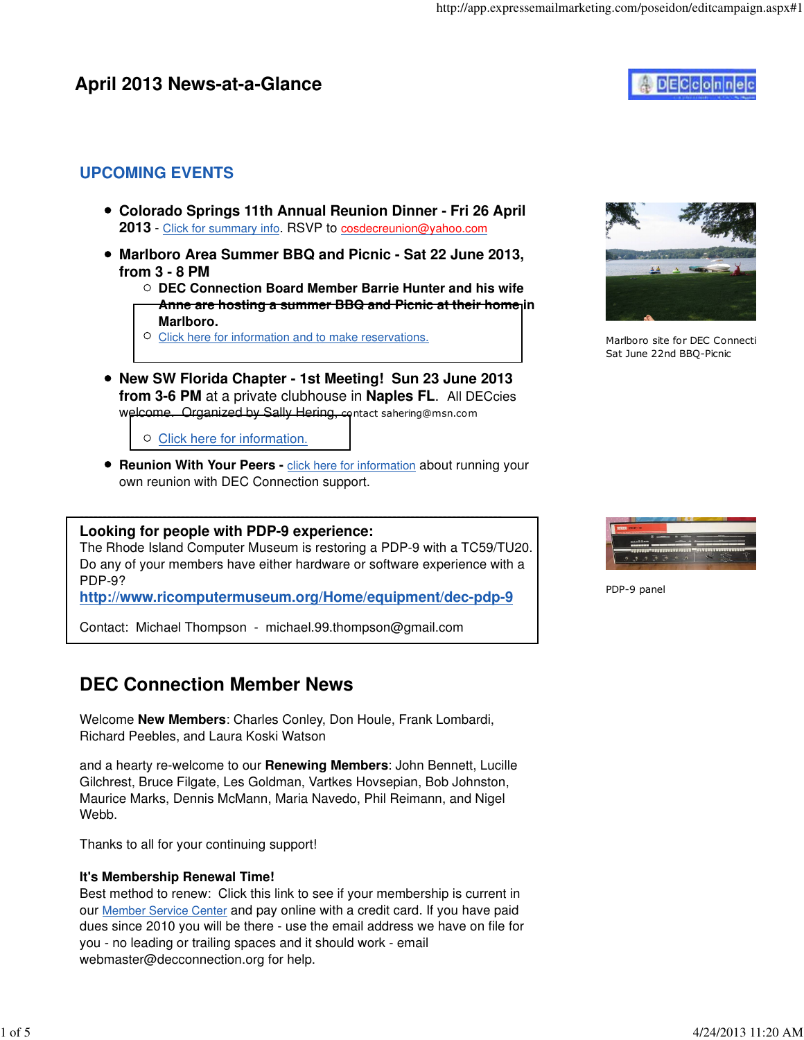# **April 2013 News-at-a-Glance**



### **UPCOMING EVENTS**

- **Colorado Springs 11th Annual Reunion Dinner Fri 26 April 2013** - Click for summary info. RSVP to cosdecreunion@yahoo.com
- **Marlboro Area Summer BBQ and Picnic Sat 22 June 2013, from 3 - 8 PM**
	- **DEC Connection Board Member Barrie Hunter and his wife Anne are hosting a summer BBQ and Picnic at their home in Marlboro.**
	- O [Click here for information and to make reservations.](http://www.decconnection.org/events.htm)
- **New SW Florida Chapter 1st Meeting! Sun 23 June 2013 from 3-6 PM** at a private clubhouse in **Naples FL**. All DECcies welcome. Organized by Sally Hering, contact sahering@msn.com
	- $\circ$  [Click here for information](http://www.decconnection.org/sw-fl.htm).
- **Reunion With Your Peers click here for information** about running your own reunion with DEC Connection support.

#### -------------------------------------------------------------------------------------------- **Looking for people with PDP-9 experience:**

The Rhode Island Computer Museum is restoring a PDP-9 with a TC59/TU20. Do any of your members have either hardware or software experience with a PDP-9?

**<http://www.ricomputermuseum.org/Home/equipment/dec-pdp-9>**

Contact: Michael Thompson - michael.99.thompson@gmail.com

# **DEC Connection Member News**

Welcome **New Members**: Charles Conley, Don Houle, Frank Lombardi, Richard Peebles, and Laura Koski Watson

and a hearty re-welcome to our **Renewing Members**: John Bennett, Lucille Gilchrest, Bruce Filgate, Les Goldman, Vartkes Hovsepian, Bob Johnston, Maurice Marks, Dennis McMann, Maria Navedo, Phil Reimann, and Nigel Webb.

Thanks to all for your continuing support!

### **It's Membership Renewal Time!**

Best method to renew: Click this link to see if your membership is current in our Member Service Center and pay online with a credit card. If you have paid dues since 2010 you will be there - use the email address we have on file for you - no leading or trailing spaces and it should work - email webmaster@decconnection.org for help.



Marlboro site for DEC Connecti Sat June 22nd BBQ-Picnic



PDP-9 panel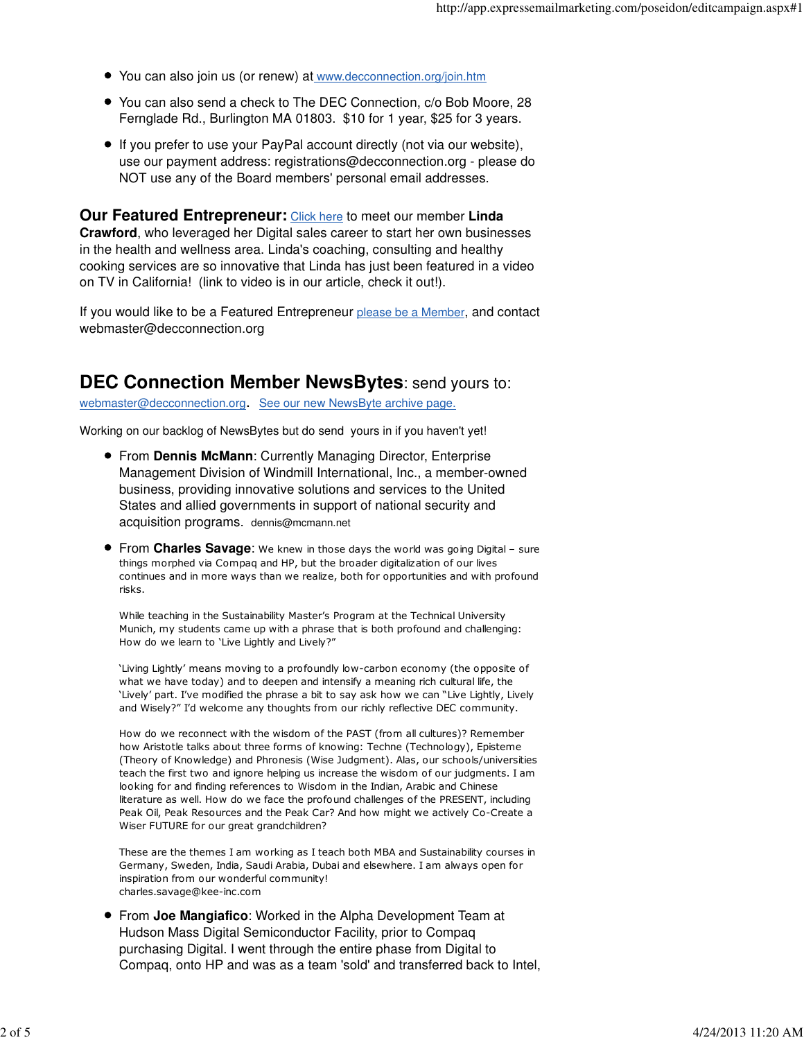- You can also join us (or renew) at www.decconnection.org/join.htm
- You can also send a check to The DEC Connection, c/o Bob Moore, 28 Fernglade Rd., Burlington MA 01803. \$10 for 1 year, \$25 for 3 years.
- If you prefer to use your PayPal account directly (not via our website), use our payment address: registrations@decconnection.org - please do NOT use any of the Board members' personal email addresses.

**Our Featured Entrepreneur:** Click here to meet our member **Linda Crawford**, who leveraged her Digital sales career to start her own businesses in the health and wellness area. Linda's coaching, consulting and healthy cooking services are so innovative that Linda has just been featured in a video on TV in California! (link to video is in our article, check it out!).

If you would like to be a Featured Entrepreneur please be a Member, and contact webmaster@decconnection.org

## **DEC Connection Member NewsBytes**: send yours to:

webmaster@decconnection.org. See our new NewsByte archive page.

Working on our backlog of NewsBytes but do send yours in if you haven't yet!

- From **Dennis McMann**: Currently Managing Director, Enterprise Management Division of Windmill International, Inc., a member-owned business, providing innovative solutions and services to the United States and allied governments in support of national security and acquisition programs. dennis@mcmann.net
- From **Charles Savage**: We knew in those days the world was going Digital sure things morphed via Compaq and HP, but the broader digitalization of our lives continues and in more ways than we realize, both for opportunities and with profound risks.

While teaching in the Sustainability Master's Program at the Technical University Munich, my students came up with a phrase that is both profound and challenging: How do we learn to 'Live Lightly and Lively?"

'Living Lightly' means moving to a profoundly low-carbon economy (the opposite of what we have today) and to deepen and intensify a meaning rich cultural life, the 'Lively' part. I've modified the phrase a bit to say ask how we can "Live Lightly, Lively and Wisely?" I'd welcome any thoughts from our richly reflective DEC community.

How do we reconnect with the wisdom of the PAST (from all cultures)? Remember how Aristotle talks about three forms of knowing: Techne (Technology), Episteme (Theory of Knowledge) and Phronesis (Wise Judgment). Alas, our schools/universities teach the first two and ignore helping us increase the wisdom of our judgments. I am looking for and finding references to Wisdom in the Indian, Arabic and Chinese literature as well. How do we face the profound challenges of the PRESENT, including Peak Oil, Peak Resources and the Peak Car? And how might we actively Co-Create a Wiser FUTURE for our great grandchildren?

These are the themes I am working as I teach both MBA and Sustainability courses in Germany, Sweden, India, Saudi Arabia, Dubai and elsewhere. I am always open for inspiration from our wonderful community! charles.savage@kee-inc.com

From **Joe Mangiafico**: Worked in the Alpha Development Team at Hudson Mass Digital Semiconductor Facility, prior to Compaq purchasing Digital. I went through the entire phase from Digital to Compaq, onto HP and was as a team 'sold' and transferred back to Intel,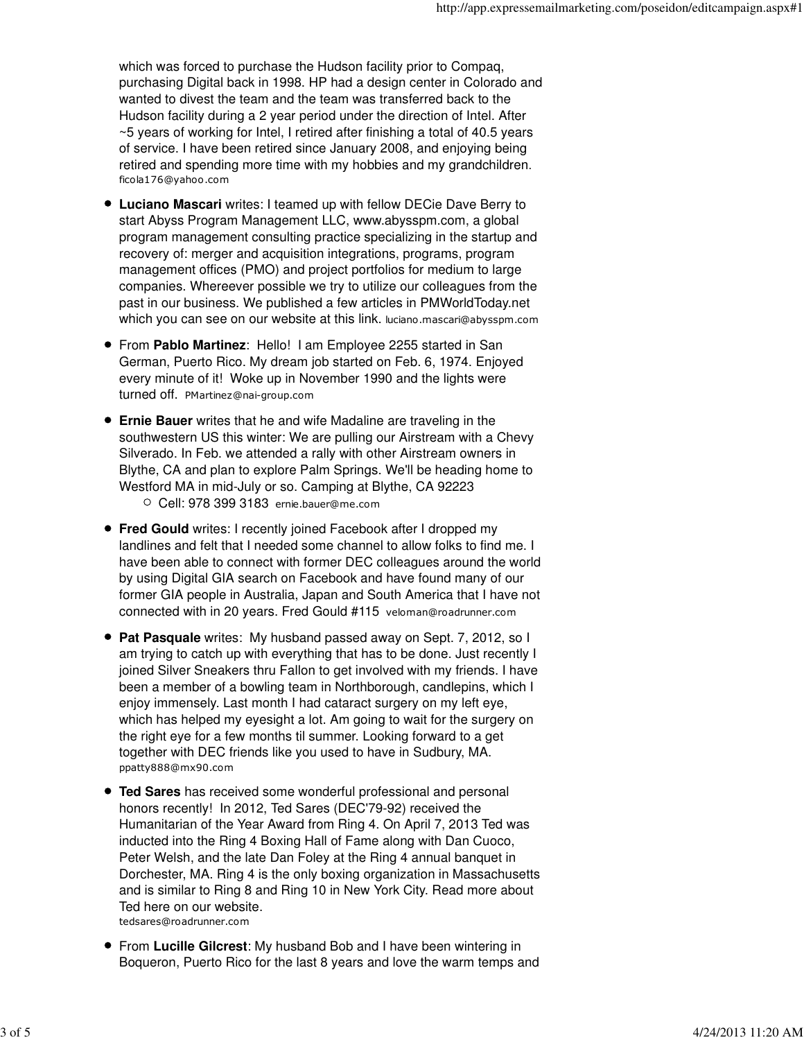which was forced to purchase the Hudson facility prior to Compaq, purchasing Digital back in 1998. HP had a design center in Colorado and wanted to divest the team and the team was transferred back to the Hudson facility during a 2 year period under the direction of Intel. After ~5 years of working for Intel, I retired after finishing a total of 40.5 years of service. I have been retired since January 2008, and enjoying being retired and spending more time with my hobbies and my grandchildren. ficola176@yahoo.com

- **Luciano Mascari** writes: I teamed up with fellow DECie Dave Berry to start Abyss Program Management LLC, www.abysspm.com, a global program management consulting practice specializing in the startup and recovery of: merger and acquisition integrations, programs, program management offices (PMO) and project portfolios for medium to large companies. Whereever possible we try to utilize our colleagues from the past in our business. We published a few articles in PMWorldToday.net which you can see on our website at this link. luciano.mascari@abysspm.com
- From **Pablo Martinez**: Hello! I am Employee 2255 started in San German, Puerto Rico. My dream job started on Feb. 6, 1974. Enjoyed every minute of it! Woke up in November 1990 and the lights were turned off. PMartinez@nai-group.com
- **Ernie Bauer** writes that he and wife Madaline are traveling in the southwestern US this winter: We are pulling our Airstream with a Chevy Silverado. In Feb. we attended a rally with other Airstream owners in Blythe, CA and plan to explore Palm Springs. We'll be heading home to Westford MA in mid-July or so. Camping at Blythe, CA 92223 Cell: 978 399 3183 ernie.bauer@me.com
- **Fred Gould** writes: I recently joined Facebook after I dropped my landlines and felt that I needed some channel to allow folks to find me. I have been able to connect with former DEC colleagues around the world by using Digital GIA search on Facebook and have found many of our former GIA people in Australia, Japan and South America that I have not connected with in 20 years. Fred Gould #115 veloman@roadrunner.com
- **Pat Pasquale** writes: My husband passed away on Sept. 7, 2012, so I am trying to catch up with everything that has to be done. Just recently I joined Silver Sneakers thru Fallon to get involved with my friends. I have been a member of a bowling team in Northborough, candlepins, which I enjoy immensely. Last month I had cataract surgery on my left eye, which has helped my eyesight a lot. Am going to wait for the surgery on the right eye for a few months til summer. Looking forward to a get together with DEC friends like you used to have in Sudbury, MA. ppatty888@mx90.com
- **Ted Sares** has received some wonderful professional and personal honors recently! In 2012, Ted Sares (DEC'79-92) received the Humanitarian of the Year Award from Ring 4. On April 7, 2013 Ted was inducted into the Ring 4 Boxing Hall of Fame along with Dan Cuoco, Peter Welsh, and the late Dan Foley at the Ring 4 annual banquet in Dorchester, MA. Ring 4 is the only boxing organization in Massachusetts and is similar to Ring 8 and Ring 10 in New York City. Read more about Ted here on our website. tedsares@roadrunner.com
- From **Lucille Gilcrest**: My husband Bob and I have been wintering in Boqueron, Puerto Rico for the last 8 years and love the warm temps and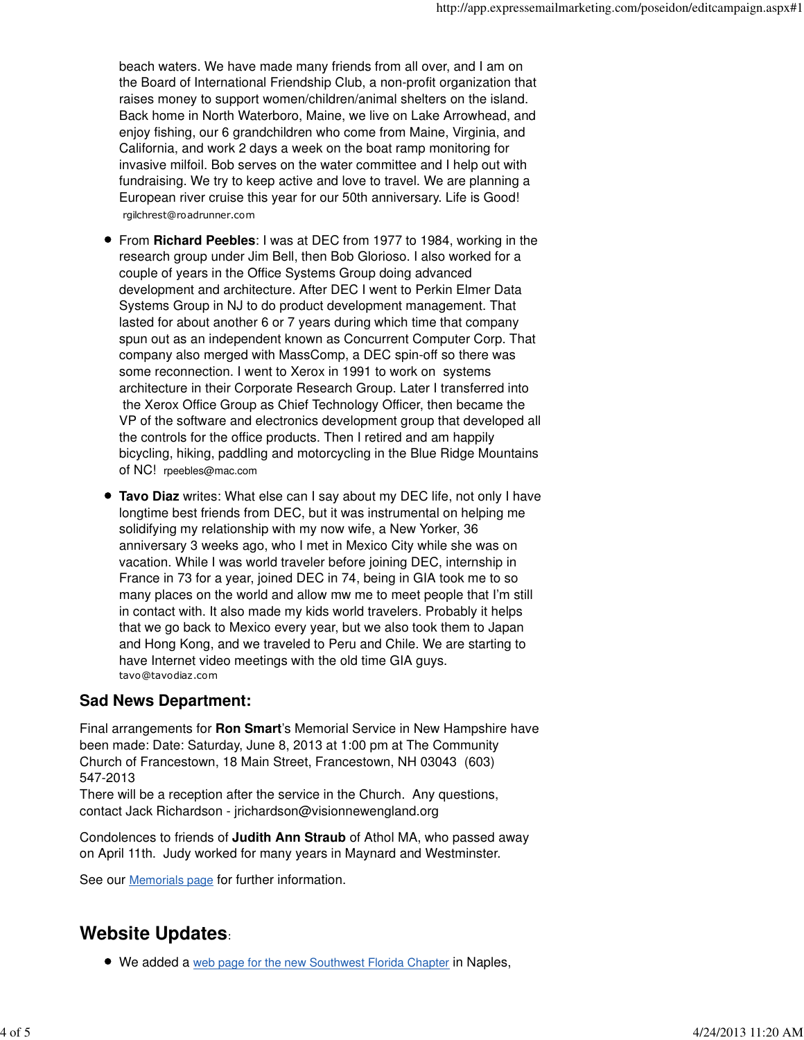beach waters. We have made many friends from all over, and I am on the Board of International Friendship Club, a non-profit organization that raises money to support women/children/animal shelters on the island. Back home in North Waterboro, Maine, we live on Lake Arrowhead, and enjoy fishing, our 6 grandchildren who come from Maine, Virginia, and California, and work 2 days a week on the boat ramp monitoring for invasive milfoil. Bob serves on the water committee and I help out with fundraising. We try to keep active and love to travel. We are planning a European river cruise this year for our 50th anniversary. Life is Good! rgilchrest@roadrunner.com

- From **Richard Peebles**: I was at DEC from 1977 to 1984, working in the research group under Jim Bell, then Bob Glorioso. I also worked for a couple of years in the Office Systems Group doing advanced development and architecture. After DEC I went to Perkin Elmer Data Systems Group in NJ to do product development management. That lasted for about another 6 or 7 years during which time that company spun out as an independent known as Concurrent Computer Corp. That company also merged with MassComp, a DEC spin-off so there was some reconnection. I went to Xerox in 1991 to work on systems architecture in their Corporate Research Group. Later I transferred into the Xerox Office Group as Chief Technology Officer, then became the VP of the software and electronics development group that developed all the controls for the office products. Then I retired and am happily bicycling, hiking, paddling and motorcycling in the Blue Ridge Mountains of NC! rpeebles@mac.com
- **Tavo Diaz** writes: What else can I say about my DEC life, not only I have longtime best friends from DEC, but it was instrumental on helping me solidifying my relationship with my now wife, a New Yorker, 36 anniversary 3 weeks ago, who I met in Mexico City while she was on vacation. While I was world traveler before joining DEC, internship in France in 73 for a year, joined DEC in 74, being in GIA took me to so many places on the world and allow mw me to meet people that I'm still in contact with. It also made my kids world travelers. Probably it helps that we go back to Mexico every year, but we also took them to Japan and Hong Kong, and we traveled to Peru and Chile. We are starting to have Internet video meetings with the old time GIA guys. tavo@tavodiaz.com

### **Sad News Department:**

Final arrangements for **Ron Smart**'s Memorial Service in New Hampshire have been made: Date: Saturday, June 8, 2013 at 1:00 pm at The Community Church of Francestown, 18 Main Street, Francestown, NH 03043 (603) 547-2013

There will be a reception after the service in the Church. Any questions, contact Jack Richardson - jrichardson@visionnewengland.org

Condolences to friends of **Judith Ann Straub** of Athol MA, who passed away on April 11th. Judy worked for many years in Maynard and Westminster.

See our Memorials page for further information.

# **Website Updates**:

We added a web page for the new Southwest Florida Chapter in Naples,